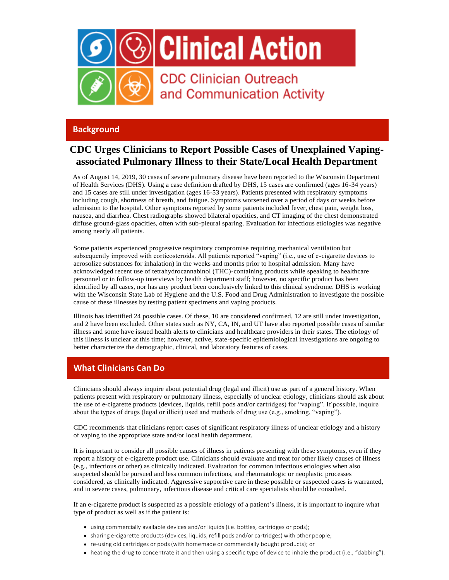

### **[Background](https://gcc01.safelinks.protection.outlook.com/?url=https%3A%2F%2Ft.emailupdates.cdc.gov%2Fr%2F%3Fid%3Dh22f9656%2C190572b%2C1903d37&data=02%7C01%7Csietske.defijter%40odh.ohio.gov%7Cfd253c9f3fa6405a73dc08d7227db19b%7C50f8fcc494d84f0784eb36ed57c7c8a2%7C0%7C0%7C637015795560232711&sdata=p7NoERUJv4YwS0ETSGvxFeya1bb1Vvx2mIIzJ8XFfYg%3D&reserved=0)**

# **CDC Urges Clinicians to Report Possible Cases of Unexplained Vapingassociated Pulmonary Illness to their State/Local Health Department**

[As of August 14, 2019, 30 cases of severe pulmonary disease have been reported to the Wisconsin Department](https://gcc01.safelinks.protection.outlook.com/?url=https%3A%2F%2Ft.emailupdates.cdc.gov%2Fr%2F%3Fid%3Dh22f9656%2C190572b%2C1903d37&data=02%7C01%7Csietske.defijter%40odh.ohio.gov%7Cfd253c9f3fa6405a73dc08d7227db19b%7C50f8fcc494d84f0784eb36ed57c7c8a2%7C0%7C0%7C637015795560232711&sdata=p7NoERUJv4YwS0ETSGvxFeya1bb1Vvx2mIIzJ8XFfYg%3D&reserved=0)  of Health Services [\(DHS\). Using a case definition drafted by DHS, 15 cases are confirmed \(ages 16-34 years\)](https://gcc01.safelinks.protection.outlook.com/?url=https%3A%2F%2Ft.emailupdates.cdc.gov%2Fr%2F%3Fid%3Dh22f9656%2C190572b%2C1903d37&data=02%7C01%7Csietske.defijter%40odh.ohio.gov%7Cfd253c9f3fa6405a73dc08d7227db19b%7C50f8fcc494d84f0784eb36ed57c7c8a2%7C0%7C0%7C637015795560232711&sdata=p7NoERUJv4YwS0ETSGvxFeya1bb1Vvx2mIIzJ8XFfYg%3D&reserved=0)  [and 15 cases are still under investigation \(ages 16-53 years\). Patients presented with respiratory symptoms](https://gcc01.safelinks.protection.outlook.com/?url=https%3A%2F%2Ft.emailupdates.cdc.gov%2Fr%2F%3Fid%3Dh22f9656%2C190572b%2C1903d37&data=02%7C01%7Csietske.defijter%40odh.ohio.gov%7Cfd253c9f3fa6405a73dc08d7227db19b%7C50f8fcc494d84f0784eb36ed57c7c8a2%7C0%7C0%7C637015795560232711&sdata=p7NoERUJv4YwS0ETSGvxFeya1bb1Vvx2mIIzJ8XFfYg%3D&reserved=0)  [including cough, shortness of breath, and fatigue. Symptoms worsened over a period of days or weeks before](https://gcc01.safelinks.protection.outlook.com/?url=https%3A%2F%2Ft.emailupdates.cdc.gov%2Fr%2F%3Fid%3Dh22f9656%2C190572b%2C1903d37&data=02%7C01%7Csietske.defijter%40odh.ohio.gov%7Cfd253c9f3fa6405a73dc08d7227db19b%7C50f8fcc494d84f0784eb36ed57c7c8a2%7C0%7C0%7C637015795560232711&sdata=p7NoERUJv4YwS0ETSGvxFeya1bb1Vvx2mIIzJ8XFfYg%3D&reserved=0)  [admission to the hospital. Other symptoms reported by some patients included fever, chest pain, weight loss,](https://gcc01.safelinks.protection.outlook.com/?url=https%3A%2F%2Ft.emailupdates.cdc.gov%2Fr%2F%3Fid%3Dh22f9656%2C190572b%2C1903d37&data=02%7C01%7Csietske.defijter%40odh.ohio.gov%7Cfd253c9f3fa6405a73dc08d7227db19b%7C50f8fcc494d84f0784eb36ed57c7c8a2%7C0%7C0%7C637015795560232711&sdata=p7NoERUJv4YwS0ETSGvxFeya1bb1Vvx2mIIzJ8XFfYg%3D&reserved=0)  [nausea, and diarrhea. Chest radiographs showed bilateral opacities, and CT imaging of the chest demonstrated](https://gcc01.safelinks.protection.outlook.com/?url=https%3A%2F%2Ft.emailupdates.cdc.gov%2Fr%2F%3Fid%3Dh22f9656%2C190572b%2C1903d37&data=02%7C01%7Csietske.defijter%40odh.ohio.gov%7Cfd253c9f3fa6405a73dc08d7227db19b%7C50f8fcc494d84f0784eb36ed57c7c8a2%7C0%7C0%7C637015795560232711&sdata=p7NoERUJv4YwS0ETSGvxFeya1bb1Vvx2mIIzJ8XFfYg%3D&reserved=0)  [diffuse ground-glass opacities, often with sub-pleural sparing. Evaluation for infectious etiologies was negative](https://gcc01.safelinks.protection.outlook.com/?url=https%3A%2F%2Ft.emailupdates.cdc.gov%2Fr%2F%3Fid%3Dh22f9656%2C190572b%2C1903d37&data=02%7C01%7Csietske.defijter%40odh.ohio.gov%7Cfd253c9f3fa6405a73dc08d7227db19b%7C50f8fcc494d84f0784eb36ed57c7c8a2%7C0%7C0%7C637015795560232711&sdata=p7NoERUJv4YwS0ETSGvxFeya1bb1Vvx2mIIzJ8XFfYg%3D&reserved=0)  [among nearly all patients.](https://gcc01.safelinks.protection.outlook.com/?url=https%3A%2F%2Ft.emailupdates.cdc.gov%2Fr%2F%3Fid%3Dh22f9656%2C190572b%2C1903d37&data=02%7C01%7Csietske.defijter%40odh.ohio.gov%7Cfd253c9f3fa6405a73dc08d7227db19b%7C50f8fcc494d84f0784eb36ed57c7c8a2%7C0%7C0%7C637015795560232711&sdata=p7NoERUJv4YwS0ETSGvxFeya1bb1Vvx2mIIzJ8XFfYg%3D&reserved=0)

[Some patients experienced progressive respiratory compromise requiring mechanical ventilation but](https://gcc01.safelinks.protection.outlook.com/?url=https%3A%2F%2Ft.emailupdates.cdc.gov%2Fr%2F%3Fid%3Dh22f9656%2C190572b%2C1903d37&data=02%7C01%7Csietske.defijter%40odh.ohio.gov%7Cfd253c9f3fa6405a73dc08d7227db19b%7C50f8fcc494d84f0784eb36ed57c7c8a2%7C0%7C0%7C637015795560232711&sdata=p7NoERUJv4YwS0ETSGvxFeya1bb1Vvx2mIIzJ8XFfYg%3D&reserved=0)  [subsequently improved with corticosteroids. All patients reported "vaping" \(i.e., use of e-cigarette devices to](https://gcc01.safelinks.protection.outlook.com/?url=https%3A%2F%2Ft.emailupdates.cdc.gov%2Fr%2F%3Fid%3Dh22f9656%2C190572b%2C1903d37&data=02%7C01%7Csietske.defijter%40odh.ohio.gov%7Cfd253c9f3fa6405a73dc08d7227db19b%7C50f8fcc494d84f0784eb36ed57c7c8a2%7C0%7C0%7C637015795560232711&sdata=p7NoERUJv4YwS0ETSGvxFeya1bb1Vvx2mIIzJ8XFfYg%3D&reserved=0)  [aerosolize substances for inhalation\) in the weeks and months prior to hospital admission. Many have](https://gcc01.safelinks.protection.outlook.com/?url=https%3A%2F%2Ft.emailupdates.cdc.gov%2Fr%2F%3Fid%3Dh22f9656%2C190572b%2C1903d37&data=02%7C01%7Csietske.defijter%40odh.ohio.gov%7Cfd253c9f3fa6405a73dc08d7227db19b%7C50f8fcc494d84f0784eb36ed57c7c8a2%7C0%7C0%7C637015795560232711&sdata=p7NoERUJv4YwS0ETSGvxFeya1bb1Vvx2mIIzJ8XFfYg%3D&reserved=0)  [acknowledged recent use of tetrahydrocannabinol \(THC\)-containing products while speaking to healthcare](https://gcc01.safelinks.protection.outlook.com/?url=https%3A%2F%2Ft.emailupdates.cdc.gov%2Fr%2F%3Fid%3Dh22f9656%2C190572b%2C1903d37&data=02%7C01%7Csietske.defijter%40odh.ohio.gov%7Cfd253c9f3fa6405a73dc08d7227db19b%7C50f8fcc494d84f0784eb36ed57c7c8a2%7C0%7C0%7C637015795560232711&sdata=p7NoERUJv4YwS0ETSGvxFeya1bb1Vvx2mIIzJ8XFfYg%3D&reserved=0)  [personnel or in follow-up interviews by health department staff; however, no specific product has been](https://gcc01.safelinks.protection.outlook.com/?url=https%3A%2F%2Ft.emailupdates.cdc.gov%2Fr%2F%3Fid%3Dh22f9656%2C190572b%2C1903d37&data=02%7C01%7Csietske.defijter%40odh.ohio.gov%7Cfd253c9f3fa6405a73dc08d7227db19b%7C50f8fcc494d84f0784eb36ed57c7c8a2%7C0%7C0%7C637015795560232711&sdata=p7NoERUJv4YwS0ETSGvxFeya1bb1Vvx2mIIzJ8XFfYg%3D&reserved=0)  [identified by all cases, nor has any product been conclusively linked to this clinical syndrome. DHS is working](https://gcc01.safelinks.protection.outlook.com/?url=https%3A%2F%2Ft.emailupdates.cdc.gov%2Fr%2F%3Fid%3Dh22f9656%2C190572b%2C1903d37&data=02%7C01%7Csietske.defijter%40odh.ohio.gov%7Cfd253c9f3fa6405a73dc08d7227db19b%7C50f8fcc494d84f0784eb36ed57c7c8a2%7C0%7C0%7C637015795560232711&sdata=p7NoERUJv4YwS0ETSGvxFeya1bb1Vvx2mIIzJ8XFfYg%3D&reserved=0)  [with the Wisconsin State Lab of Hygiene and the U.S. Food and Drug Administration to investigate the possible](https://gcc01.safelinks.protection.outlook.com/?url=https%3A%2F%2Ft.emailupdates.cdc.gov%2Fr%2F%3Fid%3Dh22f9656%2C190572b%2C1903d37&data=02%7C01%7Csietske.defijter%40odh.ohio.gov%7Cfd253c9f3fa6405a73dc08d7227db19b%7C50f8fcc494d84f0784eb36ed57c7c8a2%7C0%7C0%7C637015795560232711&sdata=p7NoERUJv4YwS0ETSGvxFeya1bb1Vvx2mIIzJ8XFfYg%3D&reserved=0)  [cause of these illnesses by testing patient specimens and vaping products.](https://gcc01.safelinks.protection.outlook.com/?url=https%3A%2F%2Ft.emailupdates.cdc.gov%2Fr%2F%3Fid%3Dh22f9656%2C190572b%2C1903d37&data=02%7C01%7Csietske.defijter%40odh.ohio.gov%7Cfd253c9f3fa6405a73dc08d7227db19b%7C50f8fcc494d84f0784eb36ed57c7c8a2%7C0%7C0%7C637015795560232711&sdata=p7NoERUJv4YwS0ETSGvxFeya1bb1Vvx2mIIzJ8XFfYg%3D&reserved=0)

[Illinois has identified 24 possible cases. Of these, 10 are considered confirmed, 12 are still under investigation,](https://gcc01.safelinks.protection.outlook.com/?url=https%3A%2F%2Ft.emailupdates.cdc.gov%2Fr%2F%3Fid%3Dh22f9656%2C190572b%2C1903d37&data=02%7C01%7Csietske.defijter%40odh.ohio.gov%7Cfd253c9f3fa6405a73dc08d7227db19b%7C50f8fcc494d84f0784eb36ed57c7c8a2%7C0%7C0%7C637015795560232711&sdata=p7NoERUJv4YwS0ETSGvxFeya1bb1Vvx2mIIzJ8XFfYg%3D&reserved=0)  [and 2 have been excluded. Other states such as NY, CA, IN, and UT have also reported possible cases of similar](https://gcc01.safelinks.protection.outlook.com/?url=https%3A%2F%2Ft.emailupdates.cdc.gov%2Fr%2F%3Fid%3Dh22f9656%2C190572b%2C1903d37&data=02%7C01%7Csietske.defijter%40odh.ohio.gov%7Cfd253c9f3fa6405a73dc08d7227db19b%7C50f8fcc494d84f0784eb36ed57c7c8a2%7C0%7C0%7C637015795560232711&sdata=p7NoERUJv4YwS0ETSGvxFeya1bb1Vvx2mIIzJ8XFfYg%3D&reserved=0)  [illness and some have issued health alerts to clinicians and healthcare providers in their states. The etiology of](https://gcc01.safelinks.protection.outlook.com/?url=https%3A%2F%2Ft.emailupdates.cdc.gov%2Fr%2F%3Fid%3Dh22f9656%2C190572b%2C1903d37&data=02%7C01%7Csietske.defijter%40odh.ohio.gov%7Cfd253c9f3fa6405a73dc08d7227db19b%7C50f8fcc494d84f0784eb36ed57c7c8a2%7C0%7C0%7C637015795560232711&sdata=p7NoERUJv4YwS0ETSGvxFeya1bb1Vvx2mIIzJ8XFfYg%3D&reserved=0)  [this illness is unclear at this time; however, active, state-specific epidemiological investigations are ongoing to](https://gcc01.safelinks.protection.outlook.com/?url=https%3A%2F%2Ft.emailupdates.cdc.gov%2Fr%2F%3Fid%3Dh22f9656%2C190572b%2C1903d37&data=02%7C01%7Csietske.defijter%40odh.ohio.gov%7Cfd253c9f3fa6405a73dc08d7227db19b%7C50f8fcc494d84f0784eb36ed57c7c8a2%7C0%7C0%7C637015795560232711&sdata=p7NoERUJv4YwS0ETSGvxFeya1bb1Vvx2mIIzJ8XFfYg%3D&reserved=0)  [better characterize the demographic, clinical, and laboratory features of cases.](https://gcc01.safelinks.protection.outlook.com/?url=https%3A%2F%2Ft.emailupdates.cdc.gov%2Fr%2F%3Fid%3Dh22f9656%2C190572b%2C1903d37&data=02%7C01%7Csietske.defijter%40odh.ohio.gov%7Cfd253c9f3fa6405a73dc08d7227db19b%7C50f8fcc494d84f0784eb36ed57c7c8a2%7C0%7C0%7C637015795560232711&sdata=p7NoERUJv4YwS0ETSGvxFeya1bb1Vvx2mIIzJ8XFfYg%3D&reserved=0)

## **[What Clinicians Can Do](https://gcc01.safelinks.protection.outlook.com/?url=https%3A%2F%2Ft.emailupdates.cdc.gov%2Fr%2F%3Fid%3Dh22f9656%2C190572b%2C1903d37&data=02%7C01%7Csietske.defijter%40odh.ohio.gov%7Cfd253c9f3fa6405a73dc08d7227db19b%7C50f8fcc494d84f0784eb36ed57c7c8a2%7C0%7C0%7C637015795560232711&sdata=p7NoERUJv4YwS0ETSGvxFeya1bb1Vvx2mIIzJ8XFfYg%3D&reserved=0)**

[Clinicians should always inquire about potential drug \(legal and illicit\) use as part of a general history. When](https://gcc01.safelinks.protection.outlook.com/?url=https%3A%2F%2Ft.emailupdates.cdc.gov%2Fr%2F%3Fid%3Dh22f9656%2C190572b%2C1903d37&data=02%7C01%7Csietske.defijter%40odh.ohio.gov%7Cfd253c9f3fa6405a73dc08d7227db19b%7C50f8fcc494d84f0784eb36ed57c7c8a2%7C0%7C0%7C637015795560232711&sdata=p7NoERUJv4YwS0ETSGvxFeya1bb1Vvx2mIIzJ8XFfYg%3D&reserved=0)  [patients present with respiratory or pulmonary illness, especially of unclear etiology, clinicians should ask about](https://gcc01.safelinks.protection.outlook.com/?url=https%3A%2F%2Ft.emailupdates.cdc.gov%2Fr%2F%3Fid%3Dh22f9656%2C190572b%2C1903d37&data=02%7C01%7Csietske.defijter%40odh.ohio.gov%7Cfd253c9f3fa6405a73dc08d7227db19b%7C50f8fcc494d84f0784eb36ed57c7c8a2%7C0%7C0%7C637015795560232711&sdata=p7NoERUJv4YwS0ETSGvxFeya1bb1Vvx2mIIzJ8XFfYg%3D&reserved=0)  [the use of e-cigarette products \(devices, liquids, refill pods and/or cartridges\) for "vaping". If possible, inquire](https://gcc01.safelinks.protection.outlook.com/?url=https%3A%2F%2Ft.emailupdates.cdc.gov%2Fr%2F%3Fid%3Dh22f9656%2C190572b%2C1903d37&data=02%7C01%7Csietske.defijter%40odh.ohio.gov%7Cfd253c9f3fa6405a73dc08d7227db19b%7C50f8fcc494d84f0784eb36ed57c7c8a2%7C0%7C0%7C637015795560232711&sdata=p7NoERUJv4YwS0ETSGvxFeya1bb1Vvx2mIIzJ8XFfYg%3D&reserved=0)  [about the types of drugs \(legal or illicit\) used and methods of drug use \(e.g., smoking, "vaping"\).](https://gcc01.safelinks.protection.outlook.com/?url=https%3A%2F%2Ft.emailupdates.cdc.gov%2Fr%2F%3Fid%3Dh22f9656%2C190572b%2C1903d37&data=02%7C01%7Csietske.defijter%40odh.ohio.gov%7Cfd253c9f3fa6405a73dc08d7227db19b%7C50f8fcc494d84f0784eb36ed57c7c8a2%7C0%7C0%7C637015795560232711&sdata=p7NoERUJv4YwS0ETSGvxFeya1bb1Vvx2mIIzJ8XFfYg%3D&reserved=0)

[CDC recommends that clinicians report cases of significant respiratory illness of unclear etiology and a history](https://gcc01.safelinks.protection.outlook.com/?url=https%3A%2F%2Ft.emailupdates.cdc.gov%2Fr%2F%3Fid%3Dh22f9656%2C190572b%2C1903d37&data=02%7C01%7Csietske.defijter%40odh.ohio.gov%7Cfd253c9f3fa6405a73dc08d7227db19b%7C50f8fcc494d84f0784eb36ed57c7c8a2%7C0%7C0%7C637015795560232711&sdata=p7NoERUJv4YwS0ETSGvxFeya1bb1Vvx2mIIzJ8XFfYg%3D&reserved=0)  of vaping to the appropriate [state and/or local health department.](https://gcc01.safelinks.protection.outlook.com/?url=https%3A%2F%2Ft.emailupdates.cdc.gov%2Fr%2F%3Fid%3Dh22f9656%2C190572b%2C1903d37&data=02%7C01%7Csietske.defijter%40odh.ohio.gov%7Cfd253c9f3fa6405a73dc08d7227db19b%7C50f8fcc494d84f0784eb36ed57c7c8a2%7C0%7C0%7C637015795560232711&sdata=p7NoERUJv4YwS0ETSGvxFeya1bb1Vvx2mIIzJ8XFfYg%3D&reserved=0)

It is important to consider all possible causes of illness in patients presenting with these symptoms, even if they report a history of e-cigarette product use. Clinicians should evaluate and treat for other likely causes of illness (e.g., infectious or other) as clinically indicated. Evaluation for common infectious etiologies when also suspected should be pursued and less common infections, and rheumatologic or neoplastic processes considered, as clinically indicated. Aggressive supportive care in these possible or suspected cases is warranted, and in severe cases, pulmonary, infectious disease and critical care specialists should be consulted.

If an e-cigarette product is suspected as a possible etiology of a patient's illness, it is important to inquire what type of product as well as if the patient is:

- using commercially available devices and/or liquids (i.e. bottles, cartridges or pods);
- sharing e-cigarette products(devices, liquids, refill pods and/or cartridges) with other people;
- re-using old cartridges or pods(with homemade or commercially bought products); or
- heating the drug to concentrate it and then using a specific type of device to inhale the product (i.e., "dabbing").